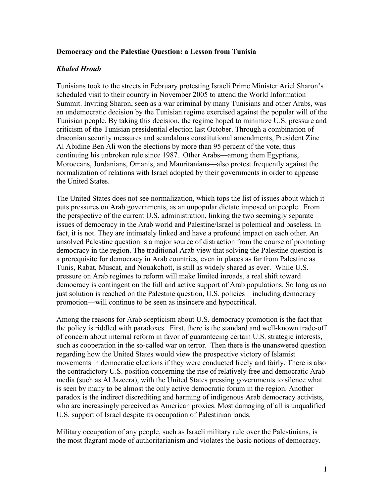## **Democracy and the Palestine Question: a Lesson from Tunisia**

## *Khaled Hroub*

Tunisians took to the streets in February protesting Israeli Prime Minister Ariel Sharon's scheduled visit to their country in November 2005 to attend the World Information Summit. Inviting Sharon, seen as a war criminal by many Tunisians and other Arabs, was an undemocratic decision by the Tunisian regime exercised against the popular will of the Tunisian people. By taking this decision, the regime hoped to minimize U.S. pressure and criticism of the Tunisian presidential election last October. Through a combination of draconian security measures and scandalous constitutional amendments, President Zine Al Abidine Ben Ali won the elections by more than 95 percent of the vote, thus continuing his unbroken rule since 1987. Other Arabs—among them Egyptians, Moroccans, Jordanians, Omanis, and Mauritanians—also protest frequently against the normalization of relations with Israel adopted by their governments in order to appease the United States.

The United States does not see normalization, which tops the list of issues about which it puts pressures on Arab governments, as an unpopular dictate imposed on people. From the perspective of the current U.S. administration, linking the two seemingly separate issues of democracy in the Arab world and Palestine/Israel is polemical and baseless. In fact, it is not. They are intimately linked and have a profound impact on each other. An unsolved Palestine question is a major source of distraction from the course of promoting democracy in the region. The traditional Arab view that solving the Palestine question is a prerequisite for democracy in Arab countries, even in places as far from Palestine as Tunis, Rabat, Muscat, and Nouakchott, is still as widely shared as ever. While U.S. pressure on Arab regimes to reform will make limited inroads, a real shift toward democracy is contingent on the full and active support of Arab populations. So long as no just solution is reached on the Palestine question, U.S. policies—including democracy promotion—will continue to be seen as insincere and hypocritical.

Among the reasons for Arab scepticism about U.S. democracy promotion is the fact that the policy is riddled with paradoxes. First, there is the standard and well-known trade-off of concern about internal reform in favor of guaranteeing certain U.S. strategic interests, such as cooperation in the so-called war on terror. Then there is the unanswered question regarding how the United States would view the prospective victory of Islamist movements in democratic elections if they were conducted freely and fairly. There is also the contradictory U.S. position concerning the rise of relatively free and democratic Arab media (such as Al Jazeera), with the United States pressing governments to silence what is seen by many to be almost the only active democratic forum in the region. Another paradox is the indirect discrediting and harming of indigenous Arab democracy activists, who are increasingly perceived as American proxies. Most damaging of all is unqualified U.S. support of Israel despite its occupation of Palestinian lands.

Military occupation of any people, such as Israeli military rule over the Palestinians, is the most flagrant mode of authoritarianism and violates the basic notions of democracy.